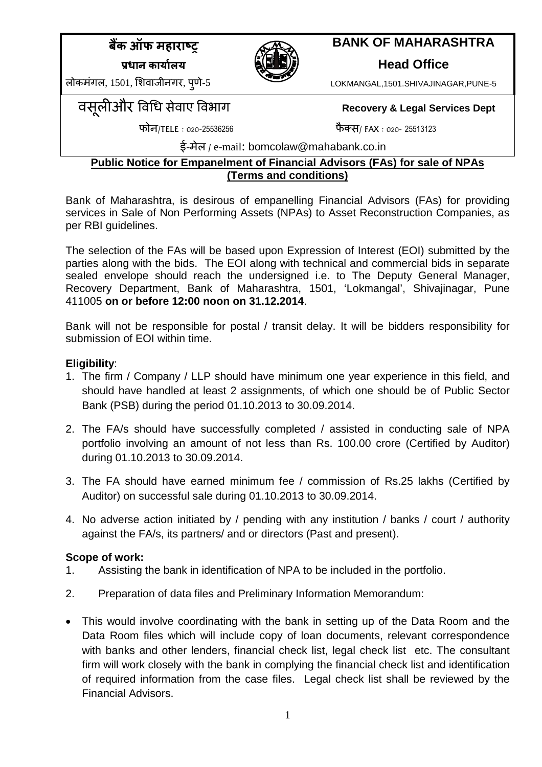$\frac{1}{4}$  के ऑफ महाराष्ट **Ĥ ȡ ȡ ȡ[**



# **BANK OF MAHARASHTRA**

**Head Office**

LOKMANGAL,1501.SHIVAJINAGAR,PUNE-5

लोकमंगल,  $1501$ , शिवाजीनगर, पणे-5

Ǘ ȣk ͪͬ सेवाए ͪ ȡ **Recovery & Legal Services Dept**

फोन/TELE : 020-25536256 ȰÈ / FAX : 020- 25513123

ई-मेल **/** e-mail: bomcolaw@mahabank.co.in

## **Public Notice for Empanelment of Financial Advisors (FAs) for sale of NPAs (Terms and conditions)**

Bank of Maharashtra, is desirous of empanelling Financial Advisors (FAs) for providing services in Sale of Non Performing Assets (NPAs) to Asset Reconstruction Companies, as per RBI guidelines.

The selection of the FAs will be based upon Expression of Interest (EOI) submitted by the parties along with the bids. The EOI along with technical and commercial bids in separate sealed envelope should reach the undersigned i.e. to The Deputy General Manager, Recovery Department, Bank of Maharashtra, 1501, 'Lokmangal', Shivajinagar, Pune 411005 **on or before 12:00 noon on 31.12.2014**.

Bank will not be responsible for postal / transit delay. It will be bidders responsibility for submission of EOI within time.

# **Eligibility**:

- 1. The firm / Company / LLP should have minimum one year experience in this field, and should have handled at least 2 assignments, of which one should be of Public Sector Bank (PSB) during the period 01.10.2013 to 30.09.2014.
- 2. The FA/s should have successfully completed / assisted in conducting sale of NPA portfolio involving an amount of not less than Rs. 100.00 crore (Certified by Auditor) during 01.10.2013 to 30.09.2014.
- 3. The FA should have earned minimum fee / commission of Rs.25 lakhs (Certified by Auditor) on successful sale during 01.10.2013 to 30.09.2014.
- 4. No adverse action initiated by / pending with any institution / banks / court / authority against the FA/s, its partners/ and or directors (Past and present).

## **Scope of work:**

- 1. Assisting the bank in identification of NPA to be included in the portfolio.
- 2. Preparation of data files and Preliminary Information Memorandum:
- This would involve coordinating with the bank in setting up of the Data Room and the Data Room files which will include copy of loan documents, relevant correspondence with banks and other lenders, financial check list, legal check list etc. The consultant firm will work closely with the bank in complying the financial check list and identification of required information from the case files. Legal check list shall be reviewed by the Financial Advisors.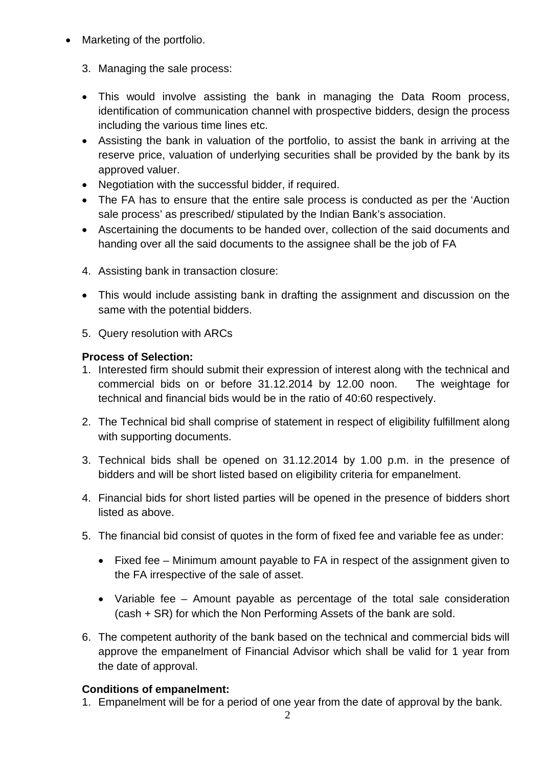- Marketing of the portfolio.
	- 3. Managing the sale process:
	- This would involve assisting the bank in managing the Data Room process, identification of communication channel with prospective bidders, design the process including the various time lines etc.
	- Assisting the bank in valuation of the portfolio, to assist the bank in arriving at the reserve price, valuation of underlying securities shall be provided by the bank by its approved valuer.
	- Negotiation with the successful bidder, if required.
	- The FA has to ensure that the entire sale process is conducted as per the 'Auction sale process' as prescribed/ stipulated by the Indian Bank's association.
	- Ascertaining the documents to be handed over, collection of the said documents and handing over all the said documents to the assignee shall be the job of FA
	- 4. Assisting bank in transaction closure:
	- This would include assisting bank in drafting the assignment and discussion on the same with the potential bidders.
	- 5. Query resolution with ARCs

## **Process of Selection:**

- 1. Interested firm should submit their expression of interest along with the technical and commercial bids on or before 31.12.2014 by 12.00 noon. The weightage for technical and financial bids would be in the ratio of 40:60 respectively.
- 2. The Technical bid shall comprise of statement in respect of eligibility fulfillment along with supporting documents.
- 3. Technical bids shall be opened on 31.12.2014 by 1.00 p.m. in the presence of bidders and will be short listed based on eligibility criteria for empanelment.
- 4. Financial bids for short listed parties will be opened in the presence of bidders short listed as above.
- 5. The financial bid consist of quotes in the form of fixed fee and variable fee as under:
	- Fixed fee Minimum amount payable to FA in respect of the assignment given to the FA irrespective of the sale of asset.
	- Variable fee Amount payable as percentage of the total sale consideration (cash + SR) for which the Non Performing Assets of the bank are sold.
- 6. The competent authority of the bank based on the technical and commercial bids will approve the empanelment of Financial Advisor which shall be valid for 1 year from the date of approval.

## **Conditions of empanelment:**

1. Empanelment will be for a period of one year from the date of approval by the bank.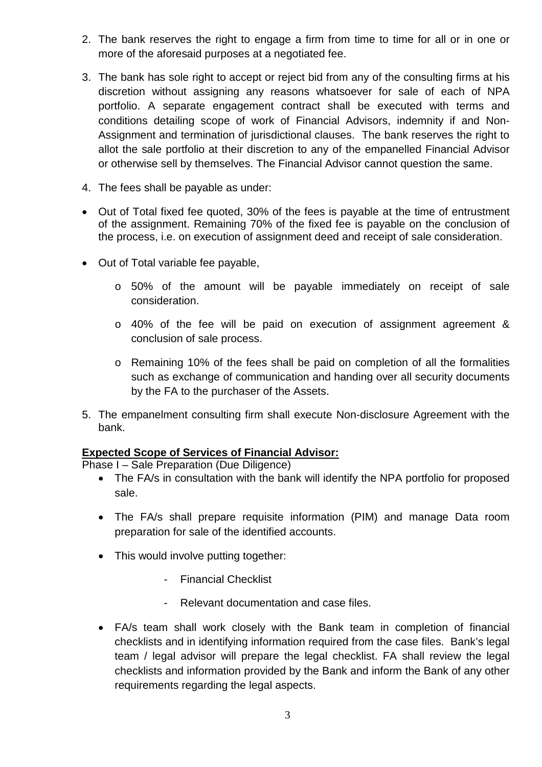- 2. The bank reserves the right to engage a firm from time to time for all or in one or more of the aforesaid purposes at a negotiated fee.
- 3. The bank has sole right to accept or reject bid from any of the consulting firms at his discretion without assigning any reasons whatsoever for sale of each of NPA portfolio. A separate engagement contract shall be executed with terms and conditions detailing scope of work of Financial Advisors, indemnity if and Non-Assignment and termination of jurisdictional clauses. The bank reserves the right to allot the sale portfolio at their discretion to any of the empanelled Financial Advisor or otherwise sell by themselves. The Financial Advisor cannot question the same.
- 4. The fees shall be payable as under:
- Out of Total fixed fee quoted, 30% of the fees is payable at the time of entrustment of the assignment. Remaining 70% of the fixed fee is payable on the conclusion of the process, i.e. on execution of assignment deed and receipt of sale consideration.
- Out of Total variable fee payable,
	- o 50% of the amount will be payable immediately on receipt of sale consideration.
	- o 40% of the fee will be paid on execution of assignment agreement & conclusion of sale process.
	- o Remaining 10% of the fees shall be paid on completion of all the formalities such as exchange of communication and handing over all security documents by the FA to the purchaser of the Assets.
- 5. The empanelment consulting firm shall execute Non-disclosure Agreement with the bank.

#### **Expected Scope of Services of Financial Advisor:**

Phase I – Sale Preparation (Due Diligence)

- The FA/s in consultation with the bank will identify the NPA portfolio for proposed sale.
- The FA/s shall prepare requisite information (PIM) and manage Data room preparation for sale of the identified accounts.
- This would involve putting together:
	- Financial Checklist
	- Relevant documentation and case files.
- FA/s team shall work closely with the Bank team in completion of financial checklists and in identifying information required from the case files. Bank's legal team / legal advisor will prepare the legal checklist. FA shall review the legal checklists and information provided by the Bank and inform the Bank of any other requirements regarding the legal aspects.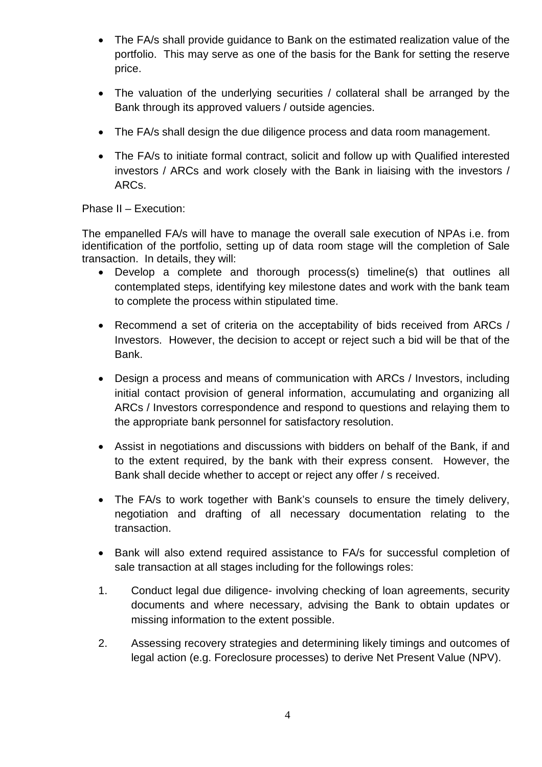- The FA/s shall provide guidance to Bank on the estimated realization value of the portfolio. This may serve as one of the basis for the Bank for setting the reserve price.
- The valuation of the underlying securities / collateral shall be arranged by the Bank through its approved valuers / outside agencies.
- The FA/s shall design the due diligence process and data room management.
- The FA/s to initiate formal contract, solicit and follow up with Qualified interested investors / ARCs and work closely with the Bank in liaising with the investors / ARCs.

#### Phase II – Execution:

The empanelled FA/s will have to manage the overall sale execution of NPAs i.e. from identification of the portfolio, setting up of data room stage will the completion of Sale transaction. In details, they will:

- Develop a complete and thorough process(s) timeline(s) that outlines all contemplated steps, identifying key milestone dates and work with the bank team to complete the process within stipulated time.
- Recommend a set of criteria on the acceptability of bids received from ARCs / Investors. However, the decision to accept or reject such a bid will be that of the Bank.
- Design a process and means of communication with ARCs / Investors, including initial contact provision of general information, accumulating and organizing all ARCs / Investors correspondence and respond to questions and relaying them to the appropriate bank personnel for satisfactory resolution.
- Assist in negotiations and discussions with bidders on behalf of the Bank, if and to the extent required, by the bank with their express consent. However, the Bank shall decide whether to accept or reject any offer / s received.
- The FA/s to work together with Bank's counsels to ensure the timely delivery, negotiation and drafting of all necessary documentation relating to the transaction.
- Bank will also extend required assistance to FA/s for successful completion of sale transaction at all stages including for the followings roles:
- 1. Conduct legal due diligence- involving checking of loan agreements, security documents and where necessary, advising the Bank to obtain updates or missing information to the extent possible.
- 2. Assessing recovery strategies and determining likely timings and outcomes of legal action (e.g. Foreclosure processes) to derive Net Present Value (NPV).